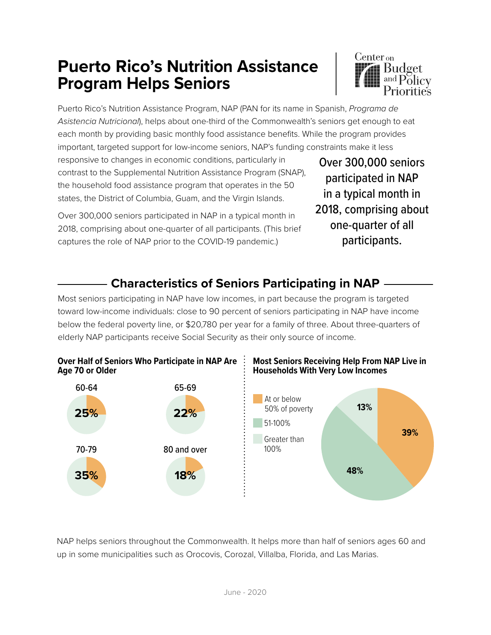# **Puerto Rico's Nutrition Assistance Program Helps Seniors**



Puerto Rico's Nutrition Assistance Program, NAP (PAN for its name in Spanish, *Programa de Asistencia Nutricional*), helps about one-third of the Commonwealth's seniors get enough to eat each month by providing basic monthly food assistance benefits. While the program provides important, targeted support for low-income seniors, NAP's funding constraints make it less

responsive to changes in economic conditions, particularly in contrast to the Supplemental Nutrition Assistance Program (SNAP), the household food assistance program that operates in the 50 states, the District of Columbia, Guam, and the Virgin Islands.

Over 300,000 seniors participated in NAP in a typical month in 2018, comprising about one-quarter of all participants. (This brief captures the role of NAP prior to the COVID-19 pandemic.)

Over 300,000 seniors participated in NAP in a typical month in 2018, comprising about one-quarter of all participants.

## **Characteristics of Seniors Participating in NAP**

Most seniors participating in NAP have low incomes, in part because the program is targeted toward low-income individuals: close to 90 percent of seniors participating in NAP have income below the federal poverty line, or \$20,780 per year for a family of three. About three-quarters of elderly NAP participants receive Social Security as their only source of income.



#### **Most Seniors Receiving Help From NAP Live in Households With Very Low Incomes**



NAP helps seniors throughout the Commonwealth. It helps more than half of seniors ages 60 and up in some municipalities such as Orocovis, Corozal, Villalba, Florida, and Las Marias.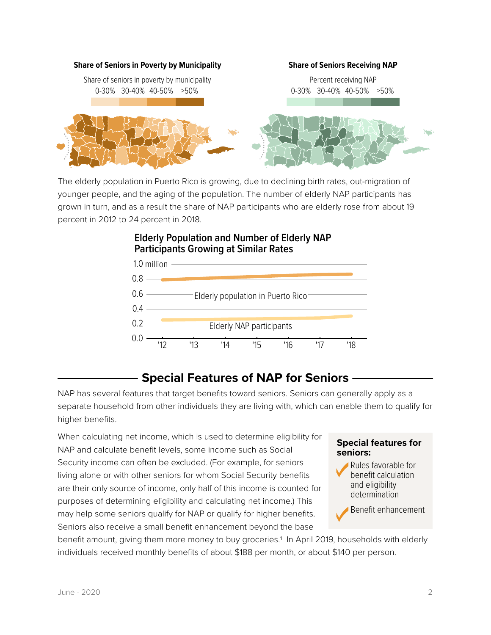

The elderly population in Puerto Rico is growing, due to declining birth rates, out-migration of younger people, and the aging of the population. The number of elderly NAP participants has grown in turn, and as a result the share of NAP participants who are elderly rose from about 19 percent in 2012 to 24 percent in 2018.



#### **Elderly Population and Number of Elderly NAP Participants Growing at Similar Rates**

## **Special Features of NAP for Seniors**

NAP has several features that target benefits toward seniors. Seniors can generally apply as a separate household from other individuals they are living with, which can enable them to qualify for higher benefits.

When calculating net income, which is used to determine eligibility for NAP and calculate benefit levels, some income such as Social Security income can often be excluded. (For example, for seniors living alone or with other seniors for whom Social Security benefits are their only source of income, only half of this income is counted for purposes of determining eligibility and calculating net income.) This may help some seniors qualify for NAP or qualify for higher benefits. Seniors also receive a small benefit enhancement beyond the base

#### **Special features for seniors:**

Rules favorable for benefit calculation and eligibility determination

Benefit enhancement

benefit amount, giving them more money to buy groceries.1 In April 2019, households with elderly individuals received monthly benefits of about \$188 per month, or about \$140 per person.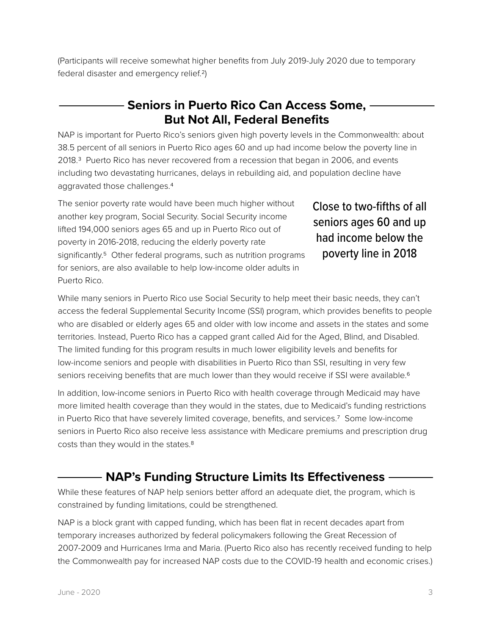(Participants will receive somewhat higher benefits from July 2019-July 2020 due to temporary federal disaster and emergency relief.2)

### **Seniors in Puerto Rico Can Access Some, But Not All, Federal Benefits**

NAP is important for Puerto Rico's seniors given high poverty levels in the Commonwealth: about 38.5 percent of all seniors in Puerto Rico ages 60 and up had income below the poverty line in 2018.3 Puerto Rico has never recovered from a recession that began in 2006, and events including two devastating hurricanes, delays in rebuilding aid, and population decline have aggravated those challenges.4

The senior poverty rate would have been much higher without another key program, Social Security. Social Security income lifted 194,000 seniors ages 65 and up in Puerto Rico out of poverty in 2016-2018, reducing the elderly poverty rate significantly.<sup>5</sup> Other federal programs, such as nutrition programs for seniors, are also available to help low-income older adults in Puerto Rico.

Close to two-fifths of all seniors ages 60 and up had income below the poverty line in 2018

While many seniors in Puerto Rico use Social Security to help meet their basic needs, they can't access the federal Supplemental Security Income (SSI) program, which provides benefits to people who are disabled or elderly ages 65 and older with low income and assets in the states and some territories. Instead, Puerto Rico has a capped grant called Aid for the Aged, Blind, and Disabled. The limited funding for this program results in much lower eligibility levels and benefits for low-income seniors and people with disabilities in Puerto Rico than SSI, resulting in very few seniors receiving benefits that are much lower than they would receive if SSI were available.<sup>6</sup>

In addition, low-income seniors in Puerto Rico with health coverage through Medicaid may have more limited health coverage than they would in the states, due to Medicaid's funding restrictions in Puerto Rico that have severely limited coverage, benefits, and services.<sup>7</sup> Some low-income seniors in Puerto Rico also receive less assistance with Medicare premiums and prescription drug costs than they would in the states.8

### **NAP's Funding Structure Limits Its Effectiveness -**

While these features of NAP help seniors better afford an adequate diet, the program, which is constrained by funding limitations, could be strengthened.

NAP is a block grant with capped funding, which has been flat in recent decades apart from temporary increases authorized by federal policymakers following the Great Recession of 2007-2009 and Hurricanes Irma and Maria. (Puerto Rico also has recently received funding to help the Commonwealth pay for increased NAP costs due to the COVID-19 health and economic crises.)